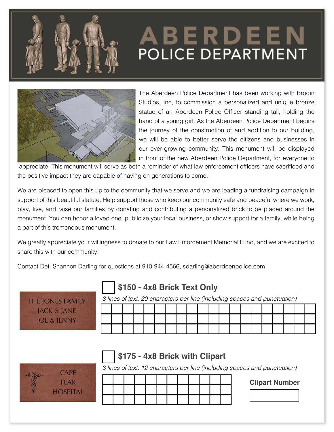## ABERDEEN **POLICE DEPARTMENT**



The Aberdeen Police Department has been working with Brodin Studios, Inc, to commission a personalized and unique bronze statue of an Aberdeen Police Officer standing tall, holding the hand of a young girl. As the Aberdeen Police Department begins the journey of the construction of and addition to our building, we will be able to better serve the citizens and businesses in our ever-growing community. This monument will be displayed in front of the new Aberdeen Police Department, for everyone to

 appreciate. This monument will serve as both a reminder of what law enforcement officers have sacrificed and the positive impact they are capable of having on generations to come.

We are pleased to open this up to the community that we serve and we are leading a fundraising campaign in support of this beautiful statute. Help support those who keep our community safe and peaceful where we work, play, live, and raise our families by donating and contributing a personalized brick to be placed around the monument. You can honor a loved one, publicize your local business, or show support for a family, while being a part of this tremendous monument.

We greatly appreciate your willingness to donate to our Law Enforcement Memorial Fund, and we are excited to share this with our community.

Contact Det. Shannon Darling for questions at 910-944-4566, sdarling@aberdeenpolice.com



**\$150 - 4x8 Brick Text Only**

*3 lines of text, 20 characters per line (including spaces and punctuation)*

|  |  |  |  |  |  | __ | —— <i>—</i> | ____ |  |  |  |
|--|--|--|--|--|--|----|-------------|------|--|--|--|
|  |  |  |  |  |  |    |             |      |  |  |  |

## **\$175 - 4x8 Brick with Clipart**

*3 lines of text, 12 characters per line (including spaces and punctuation)*



**Clipart Number**